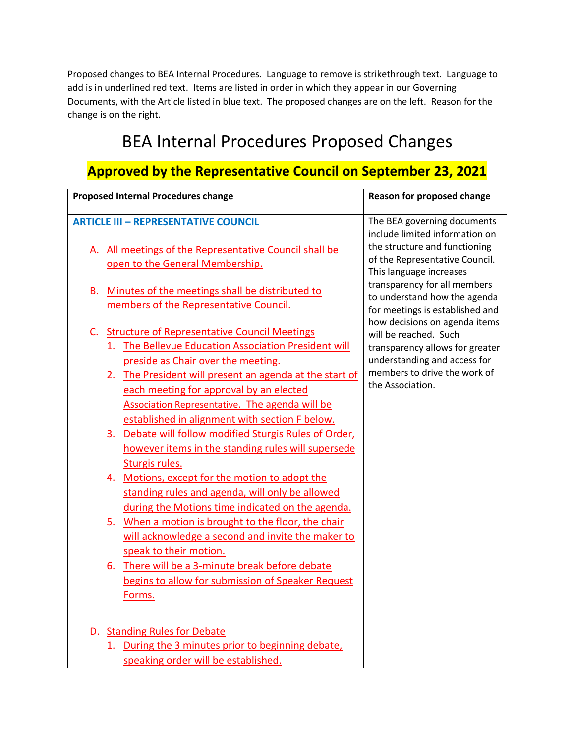Proposed changes to BEA Internal Procedures. Language to remove is strikethrough text. Language to add is in underlined red text. Items are listed in order in which they appear in our Governing Documents, with the Article listed in blue text. The proposed changes are on the left. Reason for the change is on the right.

## BEA Internal Procedures Proposed Changes

## **Approved by the Representative Council on September 23, 2021**

| <b>Proposed Internal Procedures change</b><br>Reason for proposed change |                                                                                                          |                                                                 |
|--------------------------------------------------------------------------|----------------------------------------------------------------------------------------------------------|-----------------------------------------------------------------|
|                                                                          | <b>ARTICLE III - REPRESENTATIVE COUNCIL</b>                                                              | The BEA governing documents<br>include limited information on   |
|                                                                          | A. All meetings of the Representative Council shall be                                                   | the structure and functioning<br>of the Representative Council. |
|                                                                          | open to the General Membership.                                                                          | This language increases                                         |
| В.                                                                       | Minutes of the meetings shall be distributed to                                                          | transparency for all members<br>to understand how the agenda    |
|                                                                          | members of the Representative Council.                                                                   | for meetings is established and                                 |
| $C_{\cdot}$                                                              | <b>Structure of Representative Council Meetings</b>                                                      | how decisions on agenda items<br>will be reached. Such          |
|                                                                          | 1. The Bellevue Education Association President will                                                     | transparency allows for greater                                 |
|                                                                          | preside as Chair over the meeting.                                                                       | understanding and access for                                    |
|                                                                          | 2. The President will present an agenda at the start of                                                  | members to drive the work of<br>the Association.                |
|                                                                          | each meeting for approval by an elected                                                                  |                                                                 |
|                                                                          | Association Representative. The agenda will be<br>established in alignment with section F below.         |                                                                 |
|                                                                          | 3. Debate will follow modified Sturgis Rules of Order,                                                   |                                                                 |
|                                                                          | however items in the standing rules will supersede                                                       |                                                                 |
|                                                                          | Sturgis rules.                                                                                           |                                                                 |
|                                                                          | 4. Motions, except for the motion to adopt the                                                           |                                                                 |
|                                                                          | standing rules and agenda, will only be allowed                                                          |                                                                 |
|                                                                          | during the Motions time indicated on the agenda.                                                         |                                                                 |
|                                                                          | 5. When a motion is brought to the floor, the chair<br>will acknowledge a second and invite the maker to |                                                                 |
|                                                                          | speak to their motion.                                                                                   |                                                                 |
|                                                                          | There will be a 3-minute break before debate<br>6.                                                       |                                                                 |
|                                                                          | begins to allow for submission of Speaker Request                                                        |                                                                 |
|                                                                          | Forms.                                                                                                   |                                                                 |
|                                                                          |                                                                                                          |                                                                 |
|                                                                          | D. Standing Rules for Debate                                                                             |                                                                 |
|                                                                          | 1. During the 3 minutes prior to beginning debate,                                                       |                                                                 |
|                                                                          | speaking order will be established.                                                                      |                                                                 |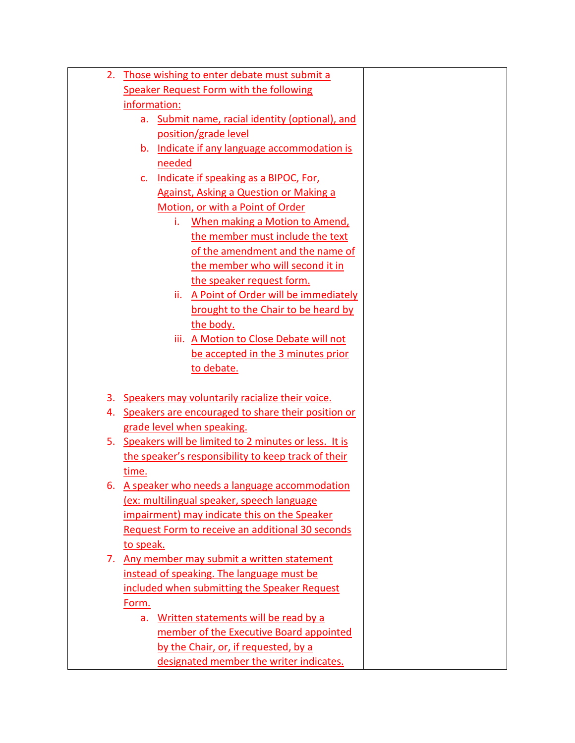| 2. | Those wishing to enter debate must submit a             |  |
|----|---------------------------------------------------------|--|
|    | <b>Speaker Request Form with the following</b>          |  |
|    | information:                                            |  |
|    | a. Submit name, racial identity (optional), and         |  |
|    | position/grade level                                    |  |
|    | Indicate if any language accommodation is<br>b.         |  |
|    | needed                                                  |  |
|    | Indicate if speaking as a BIPOC, For,<br>$\mathsf{C}$ . |  |
|    | Against, Asking a Question or Making a                  |  |
|    | Motion, or with a Point of Order                        |  |
|    | When making a Motion to Amend,<br>i.                    |  |
|    | the member must include the text                        |  |
|    | of the amendment and the name of                        |  |
|    | the member who will second it in                        |  |
|    | the speaker request form.                               |  |
|    | ii. A Point of Order will be immediately                |  |
|    | brought to the Chair to be heard by                     |  |
|    | the body.                                               |  |
|    | iii. A Motion to Close Debate will not                  |  |
|    | be accepted in the 3 minutes prior                      |  |
|    | to debate.                                              |  |
|    |                                                         |  |
| 3. | Speakers may voluntarily racialize their voice.         |  |
| 4. | Speakers are encouraged to share their position or      |  |
|    | grade level when speaking.                              |  |
|    | 5. Speakers will be limited to 2 minutes or less. It is |  |
|    | the speaker's responsibility to keep track of their     |  |
|    | time.                                                   |  |
|    | 6. A speaker who needs a language accommodation         |  |
|    | (ex: multilingual speaker, speech language              |  |
|    | impairment) may indicate this on the Speaker            |  |
|    | Request Form to receive an additional 30 seconds        |  |
|    | to speak.                                               |  |
|    | 7. Any member may submit a written statement            |  |
|    | instead of speaking. The language must be               |  |
|    | included when submitting the Speaker Request            |  |
|    | Form.                                                   |  |
|    | Written statements will be read by a<br>a.              |  |
|    | member of the Executive Board appointed                 |  |
|    | by the Chair, or, if requested, by a                    |  |
|    | designated member the writer indicates.                 |  |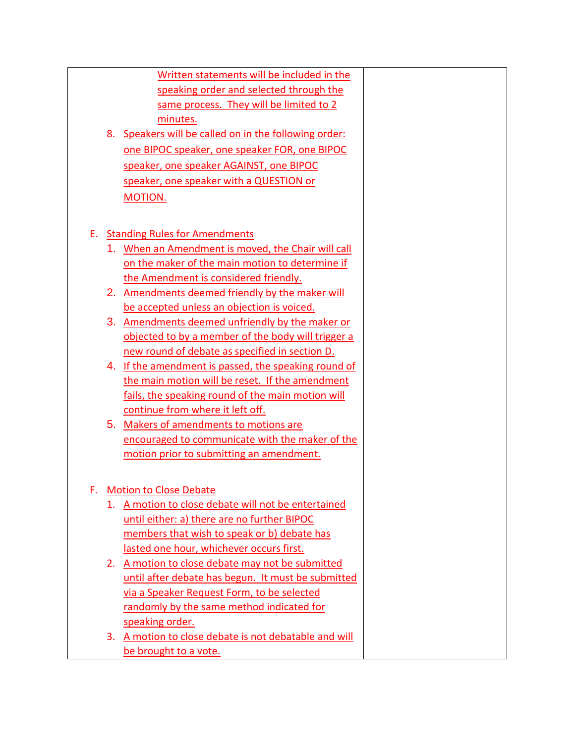|    |    | Written statements will be included in the            |  |
|----|----|-------------------------------------------------------|--|
|    |    | speaking order and selected through the               |  |
|    |    | same process. They will be limited to 2               |  |
|    |    | minutes.                                              |  |
|    |    | 8. Speakers will be called on in the following order: |  |
|    |    | one BIPOC speaker, one speaker FOR, one BIPOC         |  |
|    |    | speaker, one speaker AGAINST, one BIPOC               |  |
|    |    | speaker, one speaker with a QUESTION or               |  |
|    |    | <b>MOTION.</b>                                        |  |
|    |    |                                                       |  |
| Е. |    | <b>Standing Rules for Amendments</b>                  |  |
|    |    | 1. When an Amendment is moved, the Chair will call    |  |
|    |    | on the maker of the main motion to determine if       |  |
|    |    | the Amendment is considered friendly.                 |  |
|    |    | 2. Amendments deemed friendly by the maker will       |  |
|    |    | be accepted unless an objection is voiced.            |  |
|    |    | 3. Amendments deemed unfriendly by the maker or       |  |
|    |    | objected to by a member of the body will trigger a    |  |
|    |    | new round of debate as specified in section D.        |  |
|    |    | 4. If the amendment is passed, the speaking round of  |  |
|    |    | the main motion will be reset. If the amendment       |  |
|    |    | fails, the speaking round of the main motion will     |  |
|    |    | continue from where it left off.                      |  |
|    |    | 5. Makers of amendments to motions are                |  |
|    |    | encouraged to communicate with the maker of the       |  |
|    |    | motion prior to submitting an amendment.              |  |
|    |    |                                                       |  |
| F. |    | <b>Motion to Close Debate</b>                         |  |
|    | 1. | A motion to close debate will not be entertained      |  |
|    |    | until either: a) there are no further BIPOC           |  |
|    |    | members that wish to speak or b) debate has           |  |
|    |    | lasted one hour, whichever occurs first.              |  |
|    |    | 2. A motion to close debate may not be submitted      |  |
|    |    | until after debate has begun. It must be submitted    |  |
|    |    | via a Speaker Request Form, to be selected            |  |
|    |    | randomly by the same method indicated for             |  |
|    |    | speaking order.                                       |  |
|    | 3. | A motion to close debate is not debatable and will    |  |
|    |    | be brought to a vote.                                 |  |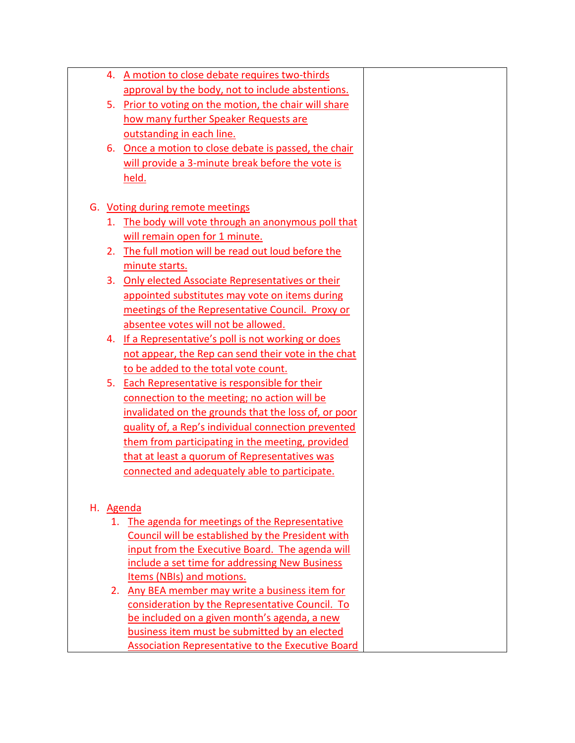|    |    | 4. A motion to close debate requires two-thirds          |  |
|----|----|----------------------------------------------------------|--|
|    |    | approval by the body, not to include abstentions.        |  |
|    |    | 5. Prior to voting on the motion, the chair will share   |  |
|    |    | how many further Speaker Requests are                    |  |
|    |    | outstanding in each line.                                |  |
|    | 6. | Once a motion to close debate is passed, the chair       |  |
|    |    | will provide a 3-minute break before the vote is         |  |
|    |    | held.                                                    |  |
|    |    |                                                          |  |
|    |    | G. Voting during remote meetings                         |  |
|    |    | 1. The body will vote through an anonymous poll that     |  |
|    |    | will remain open for 1 minute.                           |  |
|    |    | 2. The full motion will be read out loud before the      |  |
|    |    | minute starts.                                           |  |
|    |    | 3. Only elected Associate Representatives or their       |  |
|    |    | appointed substitutes may vote on items during           |  |
|    |    | meetings of the Representative Council. Proxy or         |  |
|    |    | absentee votes will not be allowed.                      |  |
|    | 4. | If a Representative's poll is not working or does        |  |
|    |    | not appear, the Rep can send their vote in the chat      |  |
|    |    | to be added to the total vote count.                     |  |
|    |    | 5. Each Representative is responsible for their          |  |
|    |    | connection to the meeting; no action will be             |  |
|    |    | invalidated on the grounds that the loss of, or poor     |  |
|    |    | quality of, a Rep's individual connection prevented      |  |
|    |    | them from participating in the meeting, provided         |  |
|    |    | that at least a quorum of Representatives was            |  |
|    |    | connected and adequately able to participate.            |  |
|    |    |                                                          |  |
| Н. |    | Agenda                                                   |  |
|    |    | 1. The agenda for meetings of the Representative         |  |
|    |    | Council will be established by the President with        |  |
|    |    | input from the Executive Board. The agenda will          |  |
|    |    | include a set time for addressing New Business           |  |
|    |    | Items (NBIs) and motions.                                |  |
|    |    | 2. Any BEA member may write a business item for          |  |
|    |    | consideration by the Representative Council. To          |  |
|    |    | be included on a given month's agenda, a new             |  |
|    |    | business item must be submitted by an elected            |  |
|    |    | <b>Association Representative to the Executive Board</b> |  |